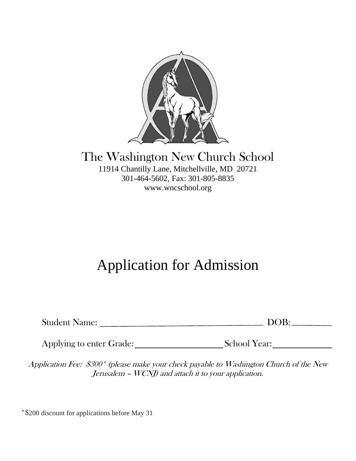

#### The Washington New Church School 11914 Chantilly Lane, Mitchellville, MD 20721 301-464-5602, Fax: 301-805-8835 www.wncschool.org

# Application for Admission

| <b>Student Name:</b> | $\bigcap$ R:<br>$\mathcal{L}$ |
|----------------------|-------------------------------|
|----------------------|-------------------------------|

Applying to enter Grade: School Year:

Application Fee: \$300\* (please make your check payable to Washington Church of the New Jerusalem – WCNJ) and attach it to your application.

\*\$200 discount for applications before May 31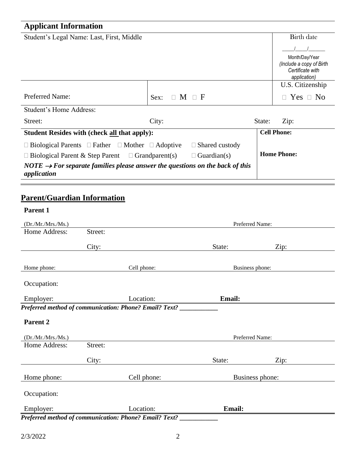## **Applicant Information**

| Student's Legal Name: Last, First, Middle                                                               |            |                       |                    | <b>Birth date</b>                          |
|---------------------------------------------------------------------------------------------------------|------------|-----------------------|--------------------|--------------------------------------------|
|                                                                                                         |            |                       |                    |                                            |
|                                                                                                         |            |                       |                    | Month/Day/Year<br>(Include a copy of Birth |
|                                                                                                         |            |                       |                    | Certificate with<br>application)           |
|                                                                                                         |            |                       |                    | U.S. Citizenship                           |
| <b>Preferred Name:</b>                                                                                  | Sex:<br>П. | $M \square F$         |                    | $Yes \Box No$<br>П.                        |
| Student's Home Address:                                                                                 |            |                       |                    |                                            |
| Street:                                                                                                 | City:      |                       | State:             | Zip:                                       |
| <b>Student Resides with (check all that apply):</b>                                                     |            |                       |                    | <b>Cell Phone:</b>                         |
| $\Box$ Biological Parents $\Box$ Father $\Box$ Mother $\Box$ Adoptive                                   |            | $\Box$ Shared custody |                    |                                            |
| $\Box$ Biological Parent & Step Parent $\Box$ Grandparent(s)<br>$\Box$ Guardian(s)                      |            |                       | <b>Home Phone:</b> |                                            |
| NOTE $\rightarrow$ For separate families please answer the questions on the back of this<br>application |            |                       |                    |                                            |

### **Parent/Guardian Information**

| Parent 1            |         |                                                                |                 |      |  |
|---------------------|---------|----------------------------------------------------------------|-----------------|------|--|
| (Dr./Mr./Mrs./Ms.)  |         |                                                                | Preferred Name: |      |  |
| Home Address:       | Street: |                                                                |                 |      |  |
|                     | City:   |                                                                | State:          | Zip: |  |
| Home phone:         |         | Cell phone:                                                    | Business phone: |      |  |
| Occupation:         |         |                                                                |                 |      |  |
| Employer:           |         | Location:                                                      | Email:          |      |  |
|                     |         | Preferred method of communication: Phone? Email? Text? _______ |                 |      |  |
| Parent <sub>2</sub> |         |                                                                |                 |      |  |
| (Dr./Mr./Mrs./Ms.)  |         |                                                                | Preferred Name: |      |  |
| Home Address:       | Street: |                                                                |                 |      |  |
|                     | City:   |                                                                | State:          | Zip: |  |
| Home phone:         |         | Cell phone:                                                    | Business phone: |      |  |
| Occupation:         |         |                                                                |                 |      |  |
| Employer:           |         | Location:                                                      | <b>Email:</b>   |      |  |
|                     |         | Preferred method of communication: Phone? Email? Text? _       |                 |      |  |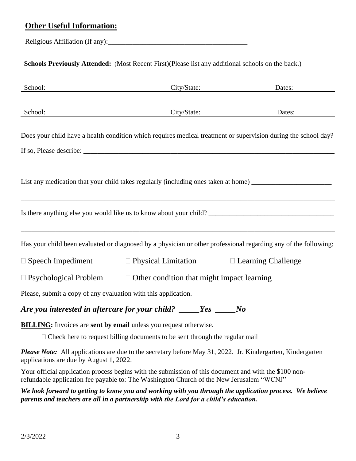#### **Other Useful Information:**

Religious Affiliation (If any):

#### **Schools Previously Attended:** (Most Recent First)(Please list any additional schools on the back.)

| School:                                                        | City/State:                                                                    | Dates:                                                                                                          |
|----------------------------------------------------------------|--------------------------------------------------------------------------------|-----------------------------------------------------------------------------------------------------------------|
| School:                                                        | City/State:                                                                    | Dates:                                                                                                          |
|                                                                |                                                                                | Does your child have a health condition which requires medical treatment or supervision during the school day?  |
|                                                                |                                                                                |                                                                                                                 |
|                                                                |                                                                                | List any medication that your child takes regularly (including ones taken at home) ___________________________  |
|                                                                |                                                                                |                                                                                                                 |
|                                                                |                                                                                | Has your child been evaluated or diagnosed by a physician or other professional regarding any of the following: |
|                                                                | $\Box$ Speech Impediment $\Box$ Physical Limitation $\Box$ Learning Challenge  |                                                                                                                 |
|                                                                | $\Box$ Psychological Problem $\Box$ Other condition that might impact learning |                                                                                                                 |
| Please, submit a copy of any evaluation with this application. |                                                                                |                                                                                                                 |
| Are you interested in aftercare for your child? ____           | Yes                                                                            | $\bm{N}$                                                                                                        |

**BILLING:** Invoices are **sent by email** unless you request otherwise.

 $\Box$  Check here to request billing documents to be sent through the regular mail

*Please Note:* All applications are due to the secretary before May 31, 2022. Jr. Kindergarten, Kindergarten applications are due by August 1, 2022.

Your official application process begins with the submission of this document and with the \$100 nonrefundable application fee payable to: The Washington Church of the New Jerusalem "WCNJ"

*We look forward to getting to know you and working with you through the application process. We believe parents and teachers are all in a partnership with the Lord for a child's education.*